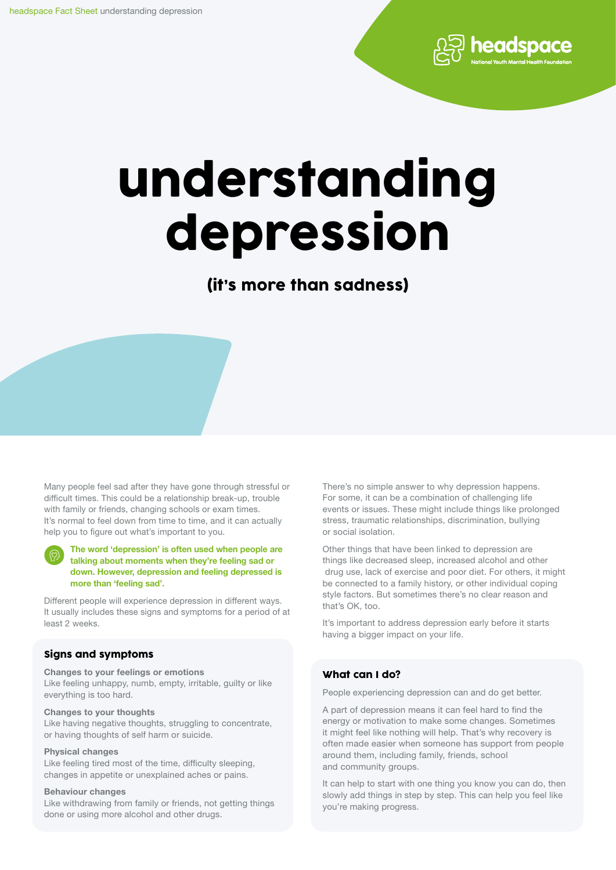

# understanding depression

(it's more than sadness)

Many people feel sad after they have gone through stressful or difficult times. This could be a relationship break-up, trouble with family or friends, changing schools or exam times. It's normal to feel down from time to time, and it can actually help you to figure out what's important to you.

The word 'depression' is often used when people are talking about moments when they're feeling sad or down. However, depression and feeling depressed is more than 'feeling sad'.

Different people will experience depression in different ways. It usually includes these signs and symptoms for a period of at least 2 weeks.

#### Signs and symptoms

Changes to your feelings or emotions Like feeling unhappy, numb, empty, irritable, guilty or like everything is too hard.

#### Changes to your thoughts

Like having negative thoughts, struggling to concentrate, or having thoughts of self harm or suicide.

#### Physical changes

Like feeling tired most of the time, difficulty sleeping, changes in appetite or unexplained aches or pains.

#### Behaviour changes

Like withdrawing from family or friends, not getting things done or using more alcohol and other drugs.

There's no simple answer to why depression happens. For some, it can be a combination of challenging life events or issues. These might include things like prolonged stress, traumatic relationships, discrimination, bullying or social isolation.

Other things that have been linked to depression are things like decreased sleep, increased alcohol and other drug use, lack of exercise and poor diet. For others, it might be connected to a family history, or other individual coping style factors. But sometimes there's no clear reason and that's OK, too.

It's important to address depression early before it starts having a bigger impact on your life.

#### What can I do?

People experiencing depression can and do get better.

A part of depression means it can feel hard to find the energy or motivation to make some changes. Sometimes it might feel like nothing will help. That's why recovery is often made easier when someone has support from people around them, including family, friends, school and community groups.

It can help to start with one thing you know you can do, then slowly add things in step by step. This can help you feel like you're making progress.